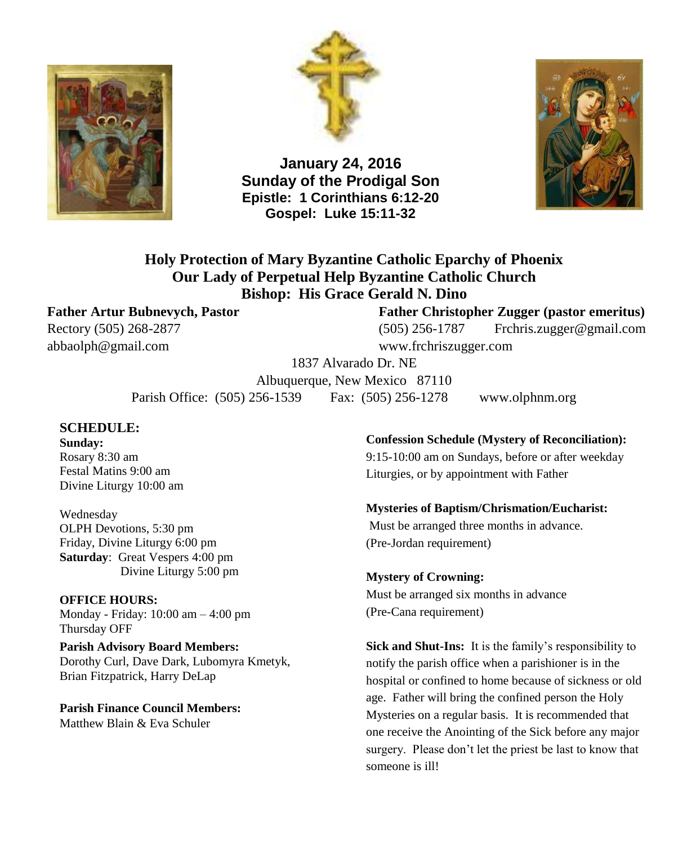



**January 24, 2016 Sunday of the Prodigal Son Epistle: 1 Corinthians 6:12-20 Gospel: Luke 15:11-32**



**Holy Protection of Mary Byzantine Catholic Eparchy of Phoenix Our Lady of Perpetual Help Byzantine Catholic Church Bishop: His Grace Gerald N. Dino**

[abbaolph@gmail.com](mailto:abbaolph@gmail.com) www.frchriszugger.com

#### **Father Artur Bubnevych, Pastor Father Christopher Zugger (pastor emeritus)**

Rectory (505) 268-2877 (505) 256-1787 [Frchris.zugger@gmail.com](mailto:Frchris.zugger@gmail.com)

1837 Alvarado Dr. NE

Albuquerque, New Mexico 87110 Parish Office: (505) 256-1539 Fax: (505) 256-1278 www.olphnm.org

#### **SCHEDULE:**

**Sunday:** Rosary 8:30 am Festal Matins 9:00 am Divine Liturgy 10:00 am

Wednesday OLPH Devotions, 5:30 pm Friday, Divine Liturgy 6:00 pm **Saturday**: Great Vespers 4:00 pm Divine Liturgy 5:00 pm

**OFFICE HOURS:** Monday - Friday: 10:00 am – 4:00 pm Thursday OFF

**Parish Advisory Board Members:** Dorothy Curl, Dave Dark, Lubomyra Kmetyk, Brian Fitzpatrick, Harry DeLap

**Parish Finance Council Members:** Matthew Blain & Eva Schuler

**Confession Schedule (Mystery of Reconciliation):**

9:15-10:00 am on Sundays, before or after weekday Liturgies, or by appointment with Father

#### **Mysteries of Baptism/Chrismation/Eucharist:**

Must be arranged three months in advance. (Pre-Jordan requirement)

**Mystery of Crowning:** Must be arranged six months in advance (Pre-Cana requirement)

**Sick and Shut-Ins:** It is the family's responsibility to notify the parish office when a parishioner is in the hospital or confined to home because of sickness or old age. Father will bring the confined person the Holy Mysteries on a regular basis. It is recommended that one receive the Anointing of the Sick before any major surgery. Please don't let the priest be last to know that someone is ill!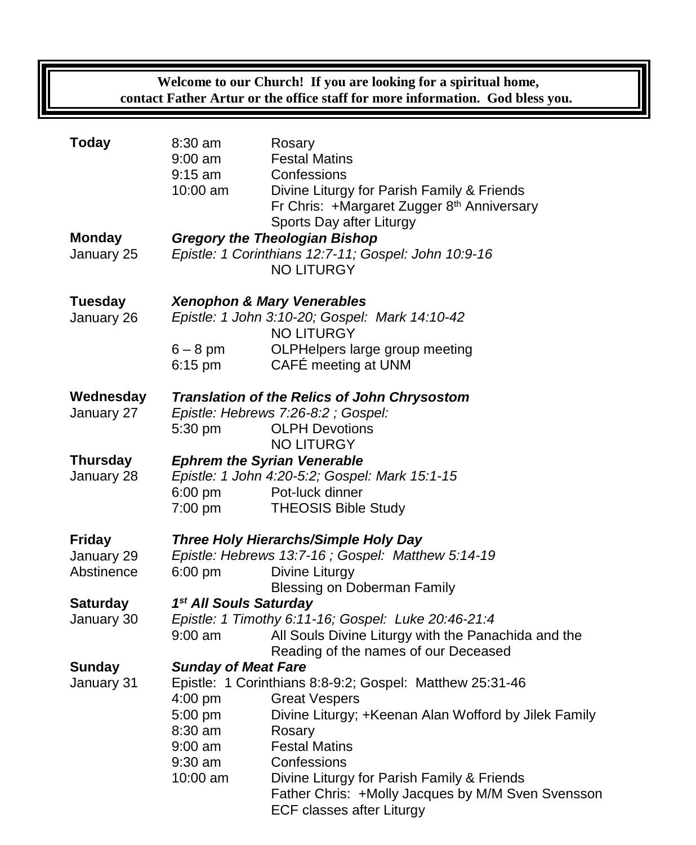## **Welcome to our Church! If you are looking for a spiritual home, contact Father Artur or the office staff for more information. God bless you.**

| <b>Today</b>                              | $8:30$ am<br>$9:00$ am<br>$9:15$ am<br>10:00 am                                                                                                                                                                                              | Rosary<br><b>Festal Matins</b><br>Confessions<br>Divine Liturgy for Parish Family & Friends<br>Fr Chris: +Margaret Zugger 8th Anniversary<br>Sports Day after Liturgy                                                                                                                                                            |  |
|-------------------------------------------|----------------------------------------------------------------------------------------------------------------------------------------------------------------------------------------------------------------------------------------------|----------------------------------------------------------------------------------------------------------------------------------------------------------------------------------------------------------------------------------------------------------------------------------------------------------------------------------|--|
| <b>Monday</b><br>January 25               | <b>Gregory the Theologian Bishop</b><br>Epistle: 1 Corinthians 12:7-11; Gospel: John 10:9-16<br><b>NO LITURGY</b>                                                                                                                            |                                                                                                                                                                                                                                                                                                                                  |  |
| <b>Tuesday</b><br>January 26              | $6 - 8$ pm<br>$6:15$ pm                                                                                                                                                                                                                      | <b>Xenophon &amp; Mary Venerables</b><br>Epistle: 1 John 3:10-20; Gospel: Mark 14:10-42<br><b>NO LITURGY</b><br>OLPHelpers large group meeting<br>CAFÉ meeting at UNM                                                                                                                                                            |  |
| Wednesday<br>January 27                   | Translation of the Relics of John Chrysostom<br>Epistle: Hebrews 7:26-8:2 ; Gospel:<br><b>OLPH Devotions</b><br>5:30 pm                                                                                                                      |                                                                                                                                                                                                                                                                                                                                  |  |
| <b>Thursday</b><br>January 28             | <b>NO LITURGY</b><br><b>Ephrem the Syrian Venerable</b><br>Epistle: 1 John 4:20-5:2; Gospel: Mark 15:1-15<br>6:00 pm<br>Pot-luck dinner<br>7:00 pm<br><b>THEOSIS Bible Study</b>                                                             |                                                                                                                                                                                                                                                                                                                                  |  |
| <b>Friday</b><br>January 29<br>Abstinence | Three Holy Hierarchs/Simple Holy Day<br>Epistle: Hebrews 13:7-16 ; Gospel: Matthew 5:14-19<br>$6:00$ pm<br>Divine Liturgy                                                                                                                    |                                                                                                                                                                                                                                                                                                                                  |  |
| <b>Saturday</b><br>January 30             | Blessing on Doberman Family<br>1 <sup>st</sup> All Souls Saturday<br>Epistle: 1 Timothy 6:11-16; Gospel: Luke 20:46-21:4<br>All Souls Divine Liturgy with the Panachida and the<br>$9:00 \text{ am}$<br>Reading of the names of our Deceased |                                                                                                                                                                                                                                                                                                                                  |  |
| <b>Sunday</b><br>January 31               | <b>Sunday of Meat Fare</b><br>4:00 pm<br>5:00 pm<br>8:30 am<br>$9:00$ am<br>9:30 am<br>10:00 am                                                                                                                                              | Epistle: 1 Corinthians 8:8-9:2; Gospel: Matthew 25:31-46<br><b>Great Vespers</b><br>Divine Liturgy; +Keenan Alan Wofford by Jilek Family<br>Rosary<br><b>Festal Matins</b><br>Confessions<br>Divine Liturgy for Parish Family & Friends<br>Father Chris: +Molly Jacques by M/M Sven Svensson<br><b>ECF classes after Liturgy</b> |  |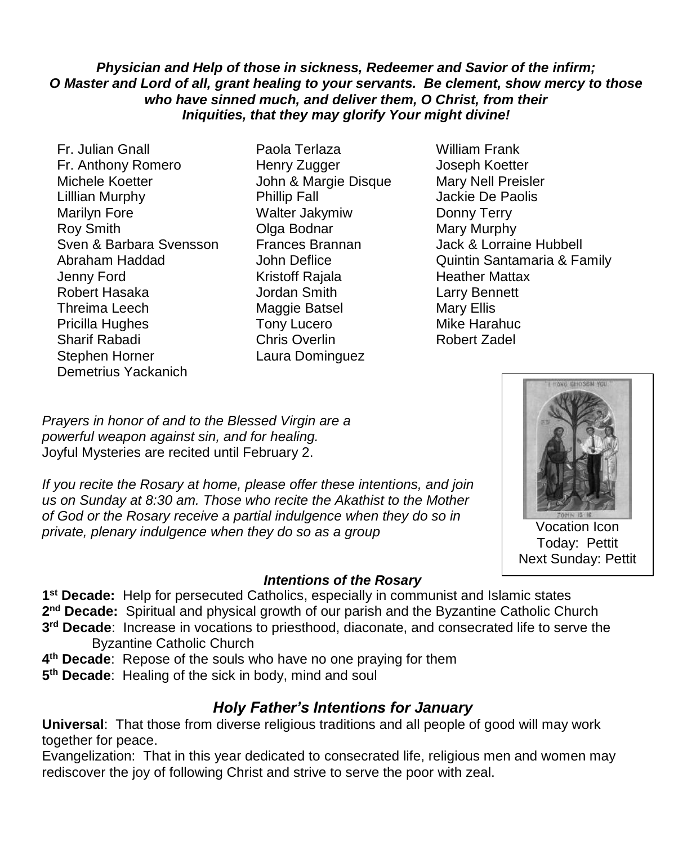## *Physician and Help of those in sickness, Redeemer and Savior of the infirm; O Master and Lord of all, grant healing to your servants. Be clement, show mercy to those who have sinned much, and deliver them, O Christ, from their Iniquities, that they may glorify Your might divine!*

- Fr. Julian Gnall Paola Terlaza William Frank Fr. Anthony Romero Henry Zugger Joseph Koetter Michele Koetter John & Margie Disque Mary Nell Preisler Lilllian Murphy Phillip Fall Jackie De Paolis Marilyn Fore **Walter Jakymiw** Donny Terry Roy Smith **Communist Communist Clga Bodnar** Mary Murphy Sven & Barbara Svensson Frances Brannan Jack & Lorraine Hubbell Jenny Ford **Kristoff Rajala** Heather Mattax Robert Hasaka Jordan Smith Larry Bennett Threima Leech Maggie Batsel Mary Ellis Pricilla Hughes Tony Lucero **Mike Harahuc** Sharif Rabadi Chris Overlin Robert Zadel Stephen Horner Laura Dominguez Demetrius Yackanich
- 
- Abraham Haddad **John Deflice** Quintin Santamaria & Family

*Prayers in honor of and to the Blessed Virgin are a powerful weapon against sin, and for healing.*  Joyful Mysteries are recited until February 2.

*If you recite the Rosary at home, please offer these intentions, and join us on Sunday at 8:30 am. Those who recite the Akathist to the Mother of God or the Rosary receive a partial indulgence when they do so in private, plenary indulgence when they do so as a group*



Vocation Icon Today: Pettit Next Sunday: Pettit

## *Intentions of the Rosary*

**1 st Decade:** Help for persecuted Catholics, especially in communist and Islamic states

- 2<sup>nd</sup> Decade: Spiritual and physical growth of our parish and the Byzantine Catholic Church
- **3 rd Decade**: Increase in vocations to priesthood, diaconate, and consecrated life to serve the Byzantine Catholic Church
- **4 th Decade**: Repose of the souls who have no one praying for them
- **5 th Decade**: Healing of the sick in body, mind and soul

## *Holy Father's Intentions for January*

**Universal**: That those from diverse religious traditions and all people of good will may work together for peace.

Evangelization: That in this year dedicated to consecrated life, religious men and women may rediscover the joy of following Christ and strive to serve the poor with zeal.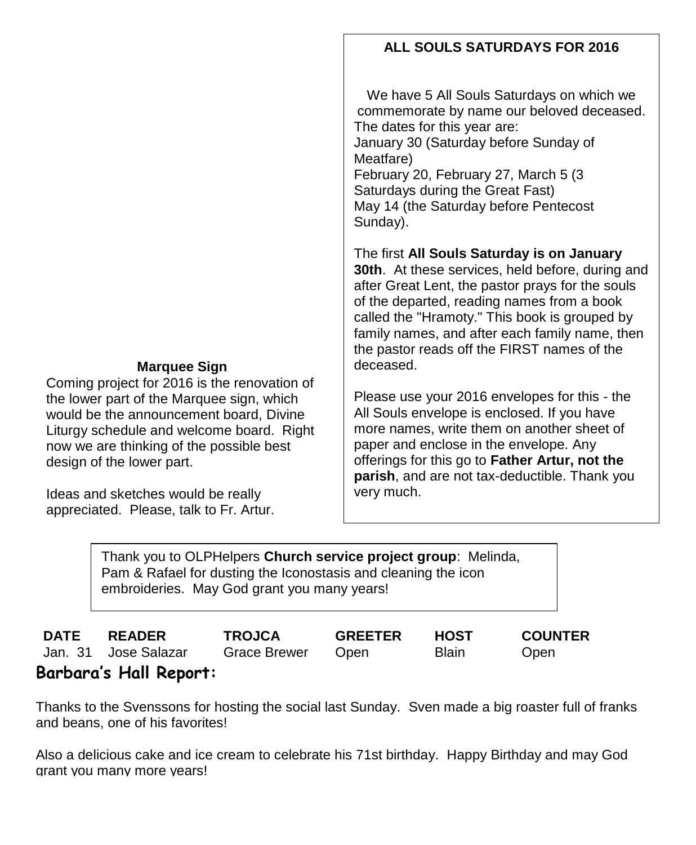## **Marquee Sign**

Coming project for 2016 is the renovation of the lower part of the Marquee sign, which would be the announcement board, Divine Liturgy schedule and welcome board. Right now we are thinking of the possible best design of the lower part.

Ideas and sketches would be really appreciated. Please, talk to Fr. Artur.

## **ALL SOULS SATURDAYS FOR 2016**

We have 5 All Souls Saturdays on which we commemorate by name our beloved deceased. The dates for this year are:

January 30 (Saturday before Sunday of Meatfare)

February 20, February 27, March 5 (3 Saturdays during the Great Fast) May 14 (the Saturday before Pentecost Sunday).

The first **All Souls Saturday is on January 30th**. At these services, held before, during and after Great Lent, the pastor prays for the souls of the departed, reading names from a book called the "Hramoty." This book is grouped by family names, and after each family name, then the pastor reads off the FIRST names of the deceased.

Please use your 2016 envelopes for this - the All Souls envelope is enclosed. If you have more names, write them on another sheet of paper and enclose in the envelope. Any offerings for this go to **Father Artur, not the parish**, and are not tax-deductible. Thank you very much.

Thank you to OLPHelpers **Church service project group**: Melinda, Pam & Rafael for dusting the Iconostasis and cleaning the icon embroideries. May God grant you many years!

|     | <b>DATE READER</b>   | <b>TROJCA</b>     | <b>GREETER</b> | HOST  | <b>COUNTER</b> |
|-----|----------------------|-------------------|----------------|-------|----------------|
| _ _ | Jan. 31 Jose Salazar | Grace Brewer Open |                | Blain | Open           |

# **Barbara's Hall Report:**

Thanks to the Svenssons for hosting the social last Sunday. Sven made a big roaster full of franks and beans, one of his favorites!

Also a delicious cake and ice cream to celebrate his 71st birthday. Happy Birthday and may God grant you many more years!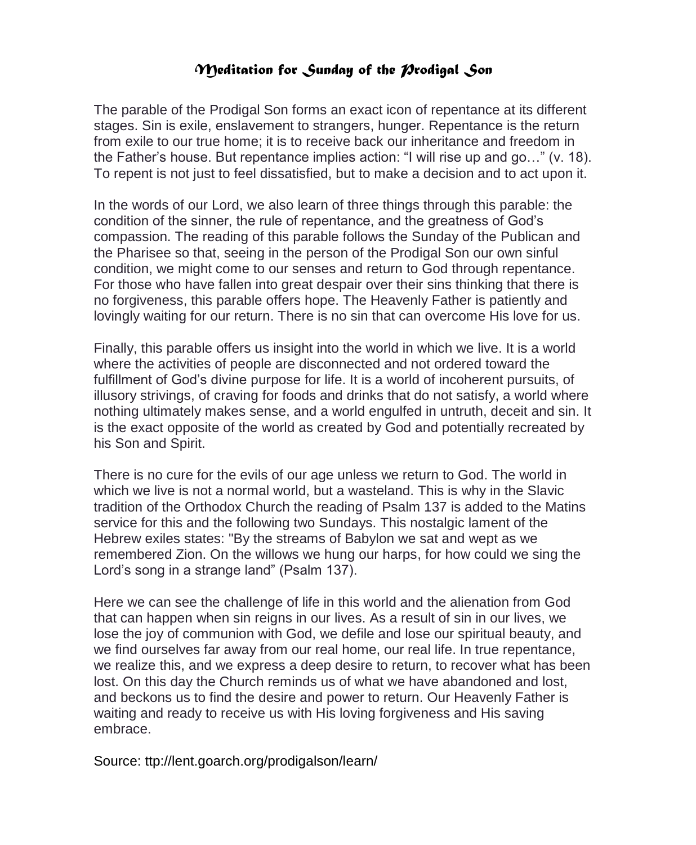## *Meditation for Sunday of the Prodigal Son*

The parable of the Prodigal Son forms an exact icon of repentance at its different stages. Sin is exile, enslavement to strangers, hunger. Repentance is the return from exile to our true home; it is to receive back our inheritance and freedom in the Father's house. But repentance implies action: "I will rise up and go…" (v. 18). To repent is not just to feel dissatisfied, but to make a decision and to act upon it.

In the words of our Lord, we also learn of three things through this parable: the condition of the sinner, the rule of repentance, and the greatness of God's compassion. The reading of this parable follows the Sunday of the Publican and the Pharisee so that, seeing in the person of the Prodigal Son our own sinful condition, we might come to our senses and return to God through repentance. For those who have fallen into great despair over their sins thinking that there is no forgiveness, this parable offers hope. The Heavenly Father is patiently and lovingly waiting for our return. There is no sin that can overcome His love for us.

Finally, this parable offers us insight into the world in which we live. It is a world where the activities of people are disconnected and not ordered toward the fulfillment of God's divine purpose for life. It is a world of incoherent pursuits, of illusory strivings, of craving for foods and drinks that do not satisfy, a world where nothing ultimately makes sense, and a world engulfed in untruth, deceit and sin. It is the exact opposite of the world as created by God and potentially recreated by his Son and Spirit.

There is no cure for the evils of our age unless we return to God. The world in which we live is not a normal world, but a wasteland. This is why in the Slavic tradition of the Orthodox Church the reading of Psalm 137 is added to the Matins service for this and the following two Sundays. This nostalgic lament of the Hebrew exiles states: "By the streams of Babylon we sat and wept as we remembered Zion. On the willows we hung our harps, for how could we sing the Lord's song in a strange land" (Psalm 137).

Here we can see the challenge of life in this world and the alienation from God that can happen when sin reigns in our lives. As a result of sin in our lives, we lose the joy of communion with God, we defile and lose our spiritual beauty, and we find ourselves far away from our real home, our real life. In true repentance, we realize this, and we express a deep desire to return, to recover what has been lost. On this day the Church reminds us of what we have abandoned and lost, and beckons us to find the desire and power to return. Our Heavenly Father is waiting and ready to receive us with His loving forgiveness and His saving embrace.

Source: ttp://lent.goarch.org/prodigalson/learn/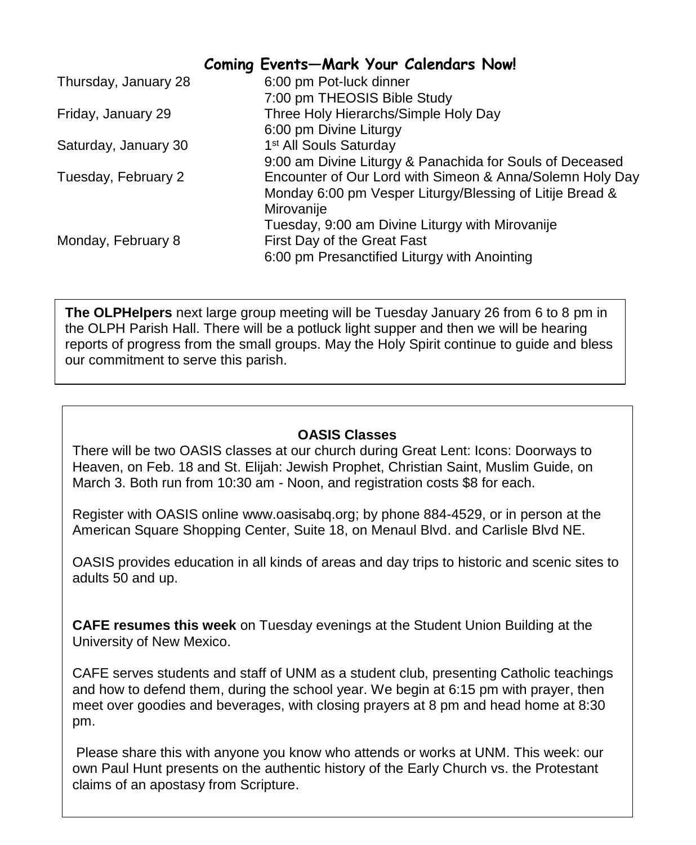## **Coming Events—Mark Your Calendars Now!**

| Thursday, January 28 | 6:00 pm Pot-luck dinner                                  |
|----------------------|----------------------------------------------------------|
|                      | 7:00 pm THEOSIS Bible Study                              |
| Friday, January 29   | Three Holy Hierarchs/Simple Holy Day                     |
|                      | 6:00 pm Divine Liturgy                                   |
| Saturday, January 30 | 1 <sup>st</sup> All Souls Saturday                       |
|                      | 9:00 am Divine Liturgy & Panachida for Souls of Deceased |
| Tuesday, February 2  | Encounter of Our Lord with Simeon & Anna/Solemn Holy Day |
|                      | Monday 6:00 pm Vesper Liturgy/Blessing of Litije Bread & |
|                      | Mirovanije                                               |
|                      | Tuesday, 9:00 am Divine Liturgy with Mirovanije          |
| Monday, February 8   | First Day of the Great Fast                              |
|                      | 6:00 pm Presanctified Liturgy with Anointing             |

**The OLPHelpers** next large group meeting will be Tuesday January 26 from 6 to 8 pm in the OLPH Parish Hall. There will be a potluck light supper and then we will be hearing reports of progress from the small groups. May the Holy Spirit continue to guide and bless our commitment to serve this parish.

## **OASIS Classes**

There will be two OASIS classes at our church during Great Lent: Icons: Doorways to Heaven, on Feb. 18 and St. Elijah: Jewish Prophet, Christian Saint, Muslim Guide, on March 3. Both run from 10:30 am - Noon, and registration costs \$8 for each.

Register with OASIS online [www.oasisabq.org;](http://www.oasisabq.org/) by phone 884-4529, or in person at the American Square Shopping Center, Suite 18, on Menaul Blvd. and Carlisle Blvd NE.

OASIS provides education in all kinds of areas and day trips to historic and scenic sites to adults 50 and up.

**CAFE resumes this week** on Tuesday evenings at the Student Union Building at the University of New Mexico.

CAFE serves students and staff of UNM as a student club, presenting Catholic teachings and how to defend them, during the school year. We begin at 6:15 pm with prayer, then meet over goodies and beverages, with closing prayers at 8 pm and head home at 8:30 pm.

Please share this with anyone you know who attends or works at UNM. This week: our own Paul Hunt presents on the authentic history of the Early Church vs. the Protestant claims of an apostasy from Scripture.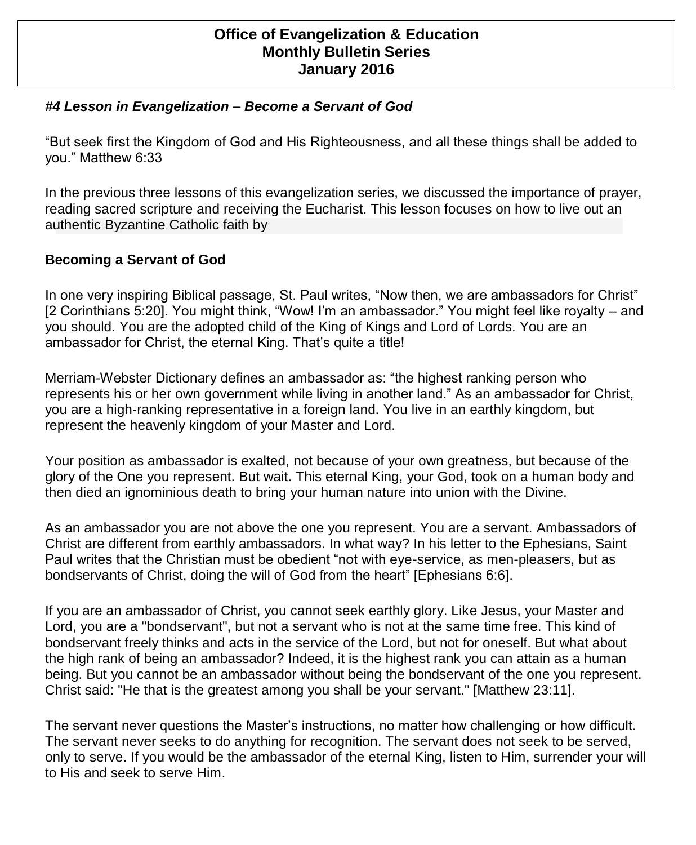## **Office of Evangelization & Education Monthly Bulletin Series January 2016**

## *#4 Lesson in Evangelization – Become a Servant of God*

"But seek first the Kingdom of God and His Righteousness, and all these things shall be added to you." Matthew 6:33

 authentic Byzantine Catholic faith by In the previous three lessons of this evangelization series, we discussed the importance of prayer, reading sacred scripture and receiving the Eucharist. This lesson focuses on how to live out an

## **Becoming a Servant of God**

In one very inspiring Biblical passage, St. Paul writes, "Now then, we are ambassadors for Christ" [2 Corinthians 5:20]. You might think, "Wow! I'm an ambassador." You might feel like royalty – and you should. You are the adopted child of the King of Kings and Lord of Lords. You are an ambassador for Christ, the eternal King. That's quite a title!

Merriam-Webster Dictionary defines an ambassador as: "the highest ranking person who represents his or her own government while living in another land." As an ambassador for Christ, you are a high-ranking representative in a foreign land. You live in an earthly kingdom, but represent the heavenly kingdom of your Master and Lord.

Your position as ambassador is exalted, not because of your own greatness, but because of the glory of the One you represent. But wait. This eternal King, your God, took on a human body and then died an ignominious death to bring your human nature into union with the Divine.

As an ambassador you are not above the one you represent. You are a servant. Ambassadors of Christ are different from earthly ambassadors. In what way? In his letter to the Ephesians, Saint Paul writes that the Christian must be obedient "not with eye-service, as men-pleasers, but as bondservants of Christ, doing the will of God from the heart" [Ephesians 6:6].

If you are an ambassador of Christ, you cannot seek earthly glory. Like Jesus, your Master and Lord, you are a "bondservant", but not a servant who is not at the same time free. This kind of bondservant freely thinks and acts in the service of the Lord, but not for oneself. But what about the high rank of being an ambassador? Indeed, it is the highest rank you can attain as a human being. But you cannot be an ambassador without being the bondservant of the one you represent. Christ said: "He that is the greatest among you shall be your servant." [Matthew 23:11].

The servant never questions the Master's instructions, no matter how challenging or how difficult. The servant never seeks to do anything for recognition. The servant does not seek to be served, only to serve. If you would be the ambassador of the eternal King, listen to Him, surrender your will to His and seek to serve Him.